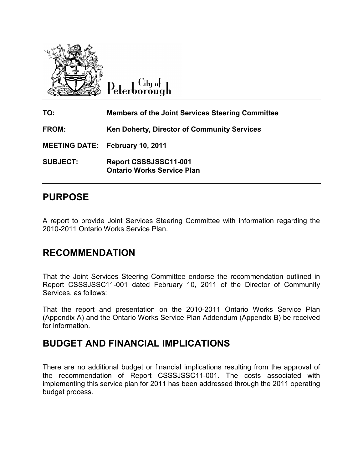

City of Peterborough

| TO:             | <b>Members of the Joint Services Steering Committee</b>           |
|-----------------|-------------------------------------------------------------------|
| <b>FROM:</b>    | Ken Doherty, Director of Community Services                       |
|                 | <b>MEETING DATE: February 10, 2011</b>                            |
| <b>SUBJECT:</b> | <b>Report CSSSJSSC11-001</b><br><b>Ontario Works Service Plan</b> |

## **PURPOSE**

A report to provide Joint Services Steering Committee with information regarding the 2010-2011 Ontario Works Service Plan.

## **RECOMMENDATION**

That the Joint Services Steering Committee endorse the recommendation outlined in Report CSSSJSSC11-001 dated February 10, 2011 of the Director of Community Services, as follows:

That the report and presentation on the 2010-2011 Ontario Works Service Plan (Appendix A) and the Ontario Works Service Plan Addendum (Appendix B) be received for information.

## **BUDGET AND FINANCIAL IMPLICATIONS**

There are no additional budget or financial implications resulting from the approval of the recommendation of Report CSSSJSSC11-001. The costs associated with implementing this service plan for 2011 has been addressed through the 2011 operating budget process.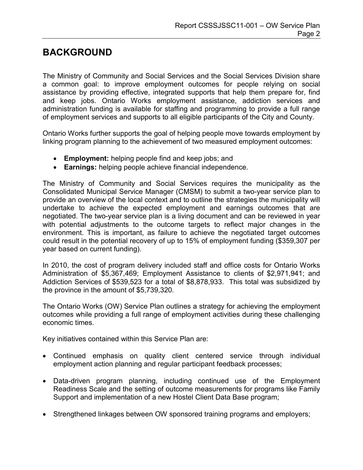## **BACKGROUND**

The Ministry of Community and Social Services and the Social Services Division share a common goal: to improve employment outcomes for people relying on social assistance by providing effective, integrated supports that help them prepare for, find and keep jobs. Ontario Works employment assistance, addiction services and administration funding is available for staffing and programming to provide a full range of employment services and supports to all eligible participants of the City and County.

Ontario Works further supports the goal of helping people move towards employment by linking program planning to the achievement of two measured employment outcomes:

- **Employment:** helping people find and keep jobs; and
- **Earnings:** helping people achieve financial independence.

The Ministry of Community and Social Services requires the municipality as the Consolidated Municipal Service Manager (CMSM) to submit a two-year service plan to provide an overview of the local context and to outline the strategies the municipality will undertake to achieve the expected employment and earnings outcomes that are negotiated. The two-year service plan is a living document and can be reviewed in year with potential adjustments to the outcome targets to reflect major changes in the environment. This is important, as failure to achieve the negotiated target outcomes could result in the potential recovery of up to 15% of employment funding (\$359,307 per year based on current funding).

In 2010, the cost of program delivery included staff and office costs for Ontario Works Administration of \$5,367,469; Employment Assistance to clients of \$2,971,941; and Addiction Services of \$539,523 for a total of \$8,878,933. This total was subsidized by the province in the amount of \$5,739,320.

The Ontario Works (OW) Service Plan outlines a strategy for achieving the employment outcomes while providing a full range of employment activities during these challenging economic times.

Key initiatives contained within this Service Plan are:

- Continued emphasis on quality client centered service through individual employment action planning and regular participant feedback processes;
- Data-driven program planning, including continued use of the Employment Readiness Scale and the setting of outcome measurements for programs like Family Support and implementation of a new Hostel Client Data Base program;
- Strengthened linkages between OW sponsored training programs and employers;